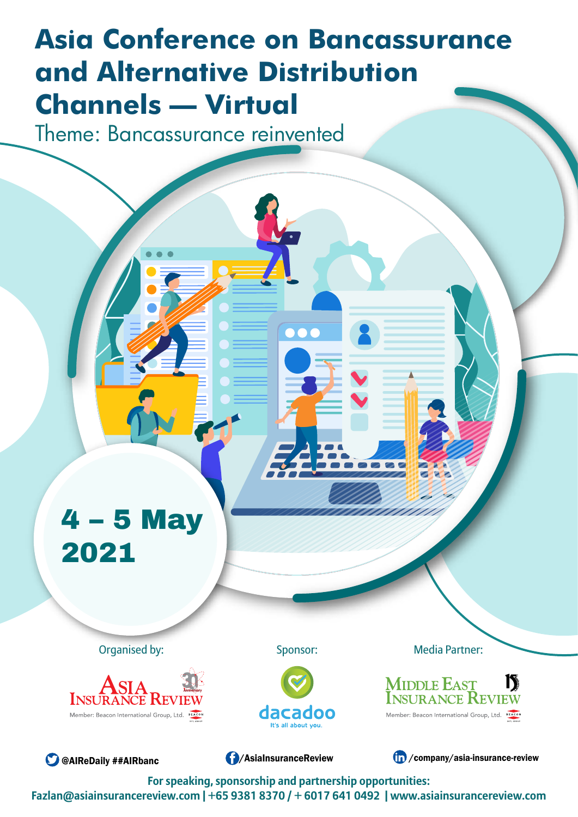# **Asia Conference on Bancassurance and Alternative Distribution Channels – Virtual**

Theme: Bancassurance reinvented

# 4 – 5 May 2021

Organised by: Sponsor: Sponsor: Media Partner:



Sponsor:







**C** [@AIReDaily ##AIRbanc](https://twitter.com/AIReDaily) **[/AsiaInsuranceReview](https://www.facebook.com/asiainsurancereview/)** / Company/asia-insurance-review /

**For speaking, sponsorship and partnership opportunities: Fazlan@asiainsurancereview.com | +65 9381 8370 / + 6017 641 0492 | www.asiainsurancereview.com**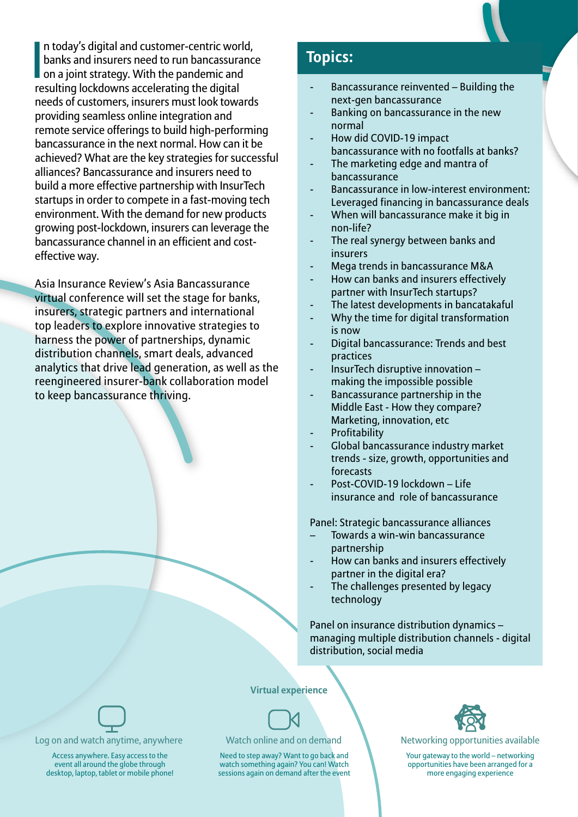

|<br>|<br>re n today's digital and customer-centric world, banks and insurers need to run bancassurance on a joint strategy. With the pandemic and resulting lockdowns accelerating the digital needs of customers, insurers must look towards providing seamless online integration and remote service offerings to build high-performing bancassurance in the next normal. How can it be achieved? What are the key strategies for successful alliances? Bancassurance and insurers need to build a more effective partnership with InsurTech startups in order to compete in a fast-moving tech environment. With the demand for new products growing post-lockdown, insurers can leverage the bancassurance channel in an efficient and costeffective way.

Asia Insurance Review's Asia Bancassurance virtual conference will set the stage for banks, insurers, strategic partners and international top leaders to explore innovative strategies to harness the power of partnerships, dynamic distribution channels, smart deals, advanced analytics that drive lead generation, as well as the reengineered insurer-bank collaboration model to keep bancassurance thriving.

### **Topics:**

- Bancassurance reinvented Building the next-gen bancassurance
- Banking on bancassurance in the new normal
- How did COVID-19 impact bancassurance with no footfalls at banks?
- The marketing edge and mantra of bancassurance
- Bancassurance in low-interest environment: Leveraged financing in bancassurance deals
- When will bancassurance make it big in non-life?
- The real synergy between banks and insurers
- Mega trends in bancassurance M&A
- How can banks and insurers effectively partner with InsurTech startups?
- The latest developments in bancatakaful
- Why the time for digital transformation is now
- Digital bancassurance: Trends and best practices
- InsurTech disruptive innovation making the impossible possible
- Bancassurance partnership in the Middle East - How they compare? Marketing, innovation, etc
- **Profitability**
- Global bancassurance industry market trends - size, growth, opportunities and forecasts
- Post-COVID-19 lockdown Life insurance and role of bancassurance

Panel: Strategic bancassurance alliances

- Towards a win-win bancassurance partnership
- How can banks and insurers effectively partner in the digital era?
- The challenges presented by legacy technology

Panel on insurance distribution dynamics – managing multiple distribution channels - digital distribution, social media

### **Virtual experience**





Networking opportunities available

Your gateway to the world – networking opportunities have been arranged for a more engaging experience



Log on and watch anytime, anywhere

Access anywhere. Easy access to the event all around the globe through desktop, laptop, tablet or mobile phone!

### Watch online and on demand

Need to step away? Want to go back and watch something again? You can! Watch sessions again on demand after the event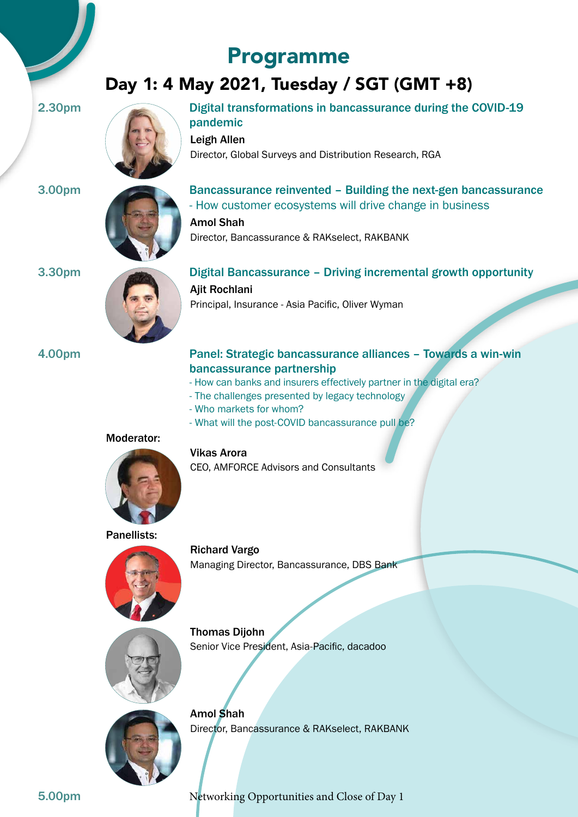## Programme

## Day 1: 4 May 2021, Tuesday / SGT (GMT +8)



2.30pm Digital transformations in bancassurance during the COVID-19 pandemic

> Leigh Allen Director, Global Surveys and Distribution Research, RGA



3.00pm Bancassurance reinvented – Building the next-gen bancassurance - How customer ecosystems will drive change in business Amol Shah

Director, Bancassurance & RAKselect, RAKBANK



3.30pm Digital Bancassurance – Driving incremental growth opportunity Ajit Rochlani Principal, Insurance - Asia Pacific, Oliver Wyman

### 4.00pm Panel: Strategic bancassurance alliances – Towards a win-win bancassurance partnership

- How can banks and insurers effectively partner in the digital era?
- The challenges presented by legacy technology
- Who markets for whom?
- What will the post-COVID bancassurance pull be?

### Moderator:



### Vikas Arora

CEO, AMFORCE Advisors and Consultants

### Panellists:



Richard Vargo Managing Director, Bancassurance, DBS Bank



Thomas Dijohn Senior Vice President, Asia-Pacific, dacadoo



Amol Shah Director, Bancassurance & RAKselect, RAKBANK

5.00pm Networking Opportunities and Close of Day 1